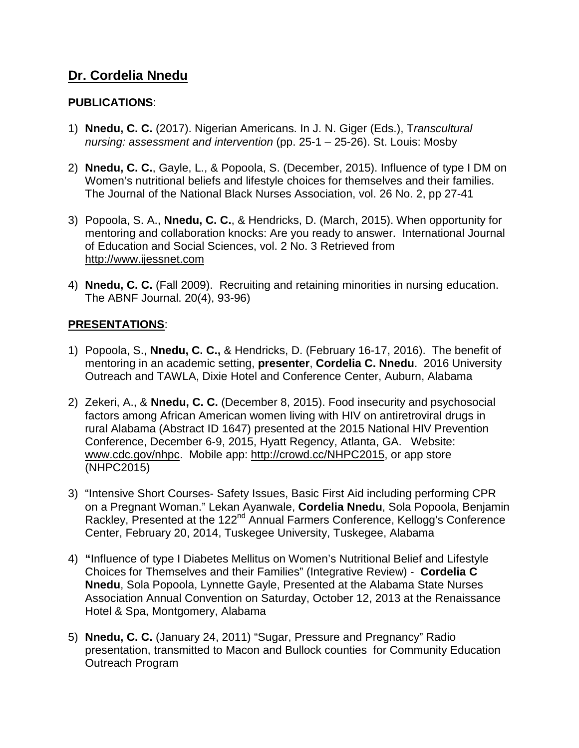## **Dr. Cordelia Nnedu**

## **PUBLICATIONS**:

- 1) **Nnedu, C. C.** (2017). Nigerian Americans. In J. N. Giger (Eds.), T*ranscultural nursing: assessment and intervention* (pp. 25-1 – 25-26). St. Louis: Mosby
- 2) **Nnedu, C. C.**, Gayle, L., & Popoola, S. (December, 2015). Influence of type I DM on Women's nutritional beliefs and lifestyle choices for themselves and their families. The Journal of the National Black Nurses Association, vol. 26 No. 2, pp 27-41
- 3) Popoola, S. A., **Nnedu, C. C.**, & Hendricks, D. (March, 2015). When opportunity for mentoring and collaboration knocks: Are you ready to answer. International Journal of Education and Social Sciences, vol. 2 No. 3 Retrieved from [http://www.ijessnet.com](http://www.ijessnet.com/)
- 4) **Nnedu, C. C.** (Fall 2009). Recruiting and retaining minorities in nursing education. The ABNF Journal. 20(4), 93-96)

## **PRESENTATIONS**:

- 1) Popoola, S., **Nnedu, C. C.,** & Hendricks, D. (February 16-17, 2016). The benefit of mentoring in an academic setting, **presenter**, **Cordelia C. Nnedu**. 2016 University Outreach and TAWLA, Dixie Hotel and Conference Center, Auburn, Alabama
- 2) Zekeri, A., & **Nnedu, C. C.** (December 8, 2015). Food insecurity and psychosocial factors among African American women living with HIV on antiretroviral drugs in rural Alabama (Abstract ID 1647) presented at the 2015 National HIV Prevention Conference, December 6-9, 2015, Hyatt Regency, Atlanta, GA. Website: [www.cdc.gov/nhpc.](http://www.cdc.gov/nhpc) Mobile app: [http://crowd.cc/NHPC2015,](http://crowd.cc/NHPC2015) or app store (NHPC2015)
- 3) "Intensive Short Courses- Safety Issues, Basic First Aid including performing CPR on a Pregnant Woman." Lekan Ayanwale, **Cordelia Nnedu**, Sola Popoola, Benjamin Rackley, Presented at the 122<sup>nd</sup> Annual Farmers Conference, Kellogg's Conference Center, February 20, 2014, Tuskegee University, Tuskegee, Alabama
- 4) **"**Influence of type I Diabetes Mellitus on Women's Nutritional Belief and Lifestyle Choices for Themselves and their Families" (Integrative Review) - **Cordelia C Nnedu**, Sola Popoola, Lynnette Gayle, Presented at the Alabama State Nurses Association Annual Convention on Saturday, October 12, 2013 at the Renaissance Hotel & Spa, Montgomery, Alabama
- 5) **Nnedu, C. C.** (January 24, 2011) "Sugar, Pressure and Pregnancy" Radio presentation, transmitted to Macon and Bullock counties for Community Education Outreach Program